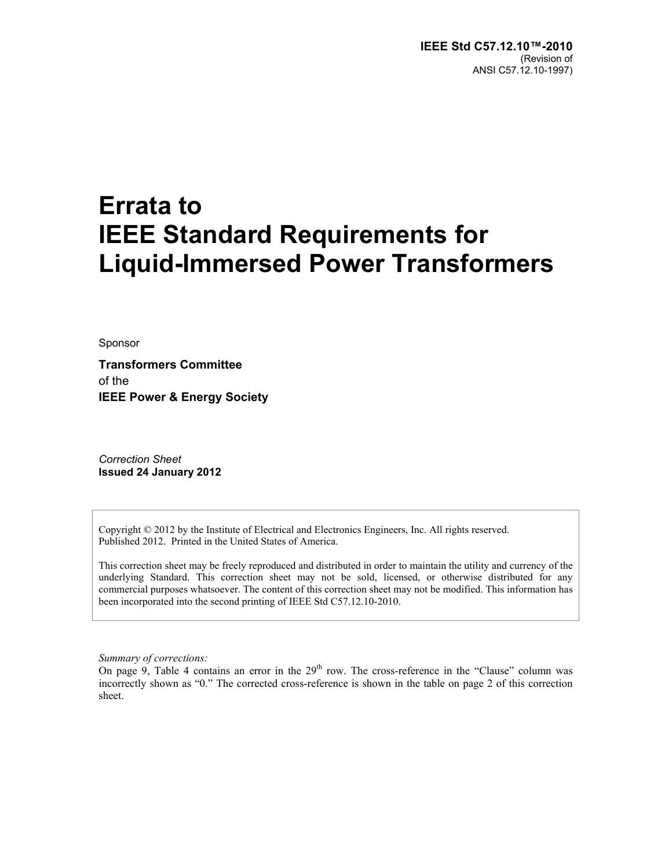## **Errata to IEEE Standard Requirements for Liquid-Immersed Power Transformers**

Sponsor

**Transformers Committee**  of the **IEEE Power & Energy Society** 

*Correction Sheet*  **Issued 24 January 2012** 

Copyright © 2012 by the Institute of Electrical and Electronics Engineers, Inc. All rights reserved. Published 2012. Printed in the United States of America.

This correction sheet may be freely reproduced and distributed in order to maintain the utility and currency of the underlying Standard. This correction sheet may not be sold, licensed, or otherwise distributed for any commercial purposes whatsoever. The content of this correction sheet may not be modified. This information has been incorporated into the second printing of IEEE Std C57.12.10-2010.

*Summary of corrections:* 

On page 9, Table 4 contains an error in the  $29<sup>th</sup>$  row. The cross-reference in the "Clause" column was incorrectly shown as "0." The corrected cross-reference is shown in the table on page 2 of this correction sheet.